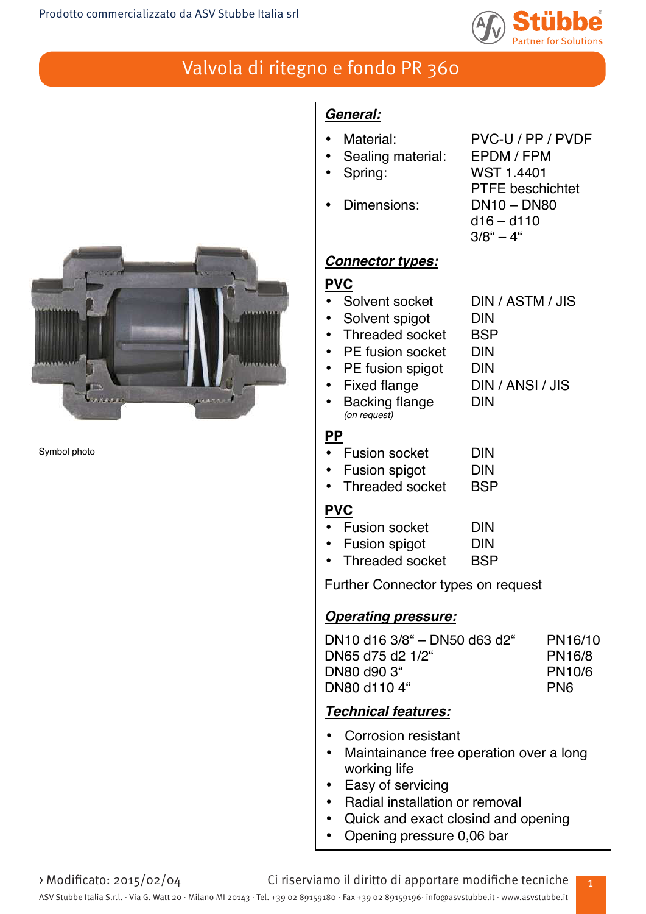

PTFE beschichtet

 $d16 - d110$  $3/8" - 4"$ 

# Valvola di ritegno e fondo PR 360



Symbol photo

# *General:*

- Material: PVC-U / PP / PVDF
- Sealing material: EPDM / FPM
- Spring: WST 1.4401
- Dimensions: DN10 DN80

# *Connector types:*

## **PVC**

- Solvent socket DIN / ASTM / JIS
- 
- Solvent spigot DIN<br>• Threaded socket BSP • Threaded socket
- PE fusion socket DIN
- PE fusion spigot DIN
- Fixed flange DIN / ANSI / JIS
- Backing flange DIN
- *(on request)*

## **PP**

- Fusion socket DIN
- Fusion spigot DIN
- Threaded socket BSP

### **PVC**

- Fusion socket DIN
- Fusion spigot DIN
- Threaded socket BSP

Further Connector types on request

## *Operating pressure:*

| DN10 d16 3/8" – DN50 d63 d2" | PN16/10         |
|------------------------------|-----------------|
| DN65 d75 d2 1/2"             | <b>PN16/8</b>   |
| DN80 d90 3"                  | <b>PN10/6</b>   |
| DN80 d110 4"                 | PN <sub>6</sub> |
|                              |                 |

# *Technical features:*

- Corrosion resistant
- Maintainance free operation over a long working life
- Easy of servicing
- Radial installation or removal
- Quick and exact closind and opening
- Opening pressure 0,06 bar

> Modificato: 2015/02/04 Ci riserviamo il diritto di apportare modifiche tecniche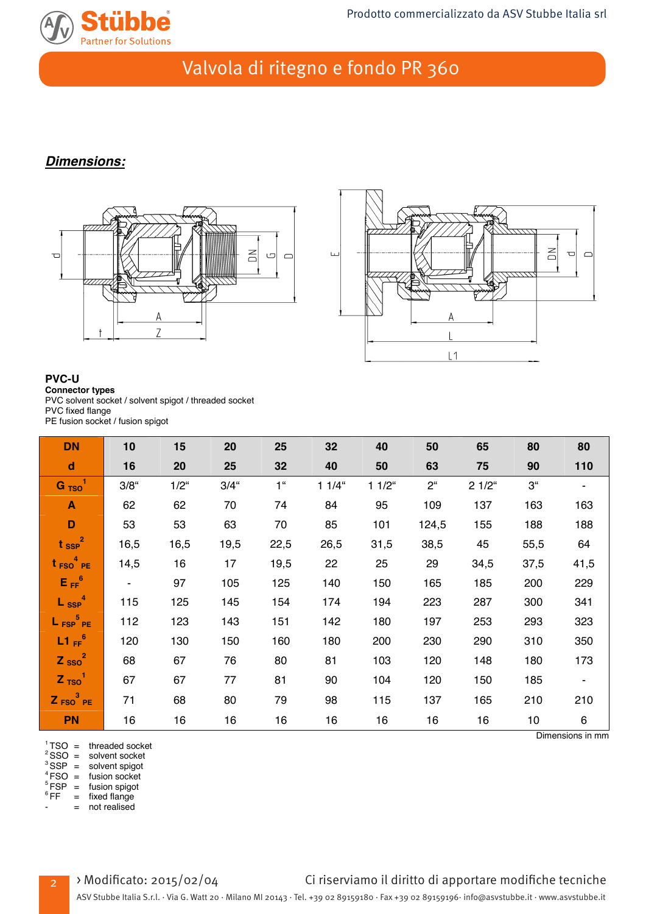

## *Dimensions:*





#### **PVC-U Connector types** PVC solvent socket / solvent spigot / threaded socket PVC fixed flange

PE fusion socket / fusion spigot

| <b>DN</b>                         | 10                          | 15            | 20      | 25             | 32       | 40       | 50             | 65       | 80             | 80             |
|-----------------------------------|-----------------------------|---------------|---------|----------------|----------|----------|----------------|----------|----------------|----------------|
| $\mathbf d$                       | 16                          | 20            | 25      | 32             | 40       | 50       | 63             | 75       | 90             | 110            |
| $G_{TSO}$ <sup>1</sup>            | $3/8$ "                     | $1/2^{\circ}$ | $3/4$ " | 1 <sup>u</sup> | $11/4$ " | $11/2$ " | 2 <sup>u</sup> | $21/2$ " | 3 <sup>4</sup> | ۰.             |
| $\blacktriangle$                  | 62                          | 62            | 70      | 74             | 84       | 95       | 109            | 137      | 163            | 163            |
| D                                 | 53                          | 53            | 63      | 70             | 85       | 101      | 124,5          | 155      | 188            | 188            |
| $t_{\text{SSP}}^2$                | 16,5                        | 16,5          | 19,5    | 22,5           | 26,5     | 31,5     | 38,5           | 45       | 55,5           | 64             |
| $t_{FSO}$ <sup>4</sup> PE         | 14,5                        | 16            | 17      | 19,5           | 22       | 25       | 29             | 34,5     | 37,5           | 41,5           |
| $E_{FF}^6$                        | $\mathcal{L}_{\mathcal{A}}$ | 97            | 105     | 125            | 140      | 150      | 165            | 185      | 200            | 229            |
| $L_{SSP}^4$                       | 115                         | 125           | 145     | 154            | 174      | 194      | 223            | 287      | 300            | 341            |
| $L_{\text{FSP}}^{\frac{5}{2}}$ PE | 112                         | 123           | 143     | 151            | 142      | 180      | 197            | 253      | 293            | 323            |
| $L1_{FF}$ <sup>6</sup>            | 120                         | 130           | 150     | 160            | 180      | 200      | 230            | 290      | 310            | 350            |
| $Z$ <sub>SSO</sub> <sup>2</sup>   | 68                          | 67            | 76      | 80             | 81       | 103      | 120            | 148      | 180            | 173            |
| $Z$ <sub>TSO</sub> <sup>1</sup>   | 67                          | 67            | 77      | 81             | 90       | 104      | 120            | 150      | 185            | $\blacksquare$ |
| $Z_{FSO}^3$ PE                    | 71                          | 68            | 80      | 79             | 98       | 115      | 137            | 165      | 210            | 210            |
| PN                                | 16                          | 16            | 16      | 16             | 16       | 16       | 16             | 16       | 10             | 6              |

 ${}^{1}_{2}$  TSO = threaded socket<br>  ${}^{2}_{2}$  SSO = solvent socket<br>  ${}^{3}_{3}$  SSP = solvent spigot<br>  ${}^{4}_{4}$  FSO = fusion socket<br>  ${}^{5}_{5}$  FSP = fusion spigot<br>  ${}^{6}$  FF = fixed flange

= not realised

2

### > Modificato: 2015/02/04 Ci riserviamo il diritto di apportare modifiche tecniche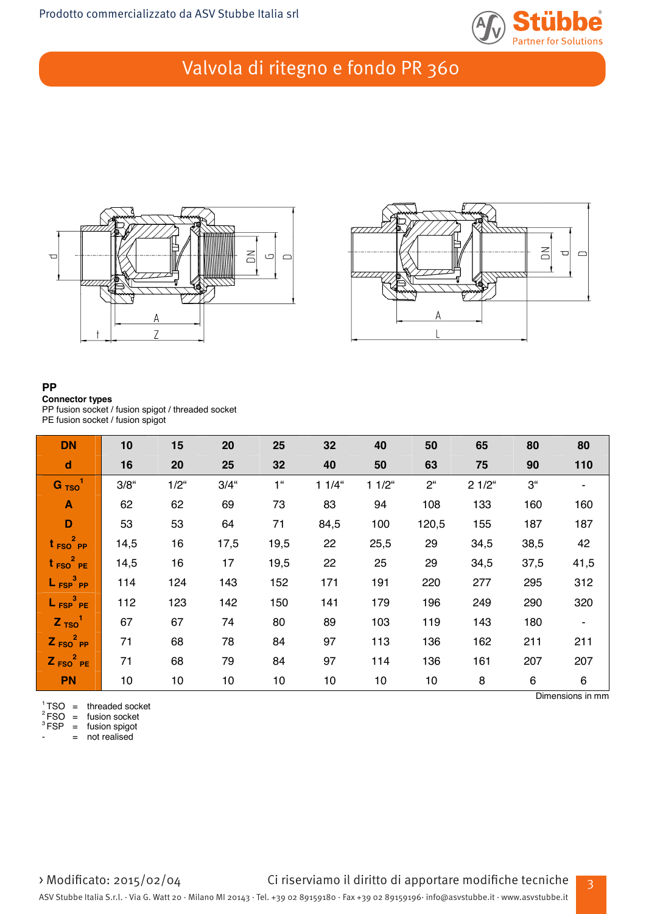





### **PP**

#### **Connector types**

PP fusion socket / fusion spigot / threaded socket PE fusion socket / fusion spigot

| <b>DN</b>                   | 10      | 15              | 20      | 25             | 32       | 40       | 50             | 65       | 80             | 80             |
|-----------------------------|---------|-----------------|---------|----------------|----------|----------|----------------|----------|----------------|----------------|
| $\operatorname{\mathbf{d}}$ | 16      | 20              | 25      | 32             | 40       | 50       | 63             | 75       | 90             | 110            |
| $G$ <sub>TSO</sub>          | $3/8$ " | $1/2^{\circ}$   | $3/4$ " | 1 <sup>u</sup> | $11/4$ " | $11/2$ " | 2 <sup>u</sup> | $21/2$ " | 3 <sup>4</sup> |                |
| $\blacktriangle$            | 62      | 62              | 69      | 73             | 83       | 94       | 108            | 133      | 160            | 160            |
| $\mathbf D$                 | 53      | 53              | 64      | 71             | 84,5     | 100      | 120,5          | 155      | 187            | 187            |
| $t_{FSO}^2$ PP              | 14,5    | 16              | 17,5    | 19,5           | 22       | 25,5     | 29             | 34,5     | 38,5           | 42             |
| $t_{FSO}^2$ PE              | 14,5    | 16              | 17      | 19,5           | 22       | 25       | 29             | 34,5     | 37,5           | 41,5           |
| $L_{FSP}^3$ PP              | 114     | 124             | 143     | 152            | 171      | 191      | 220            | 277      | 295            | 312            |
| $L_{FSP}^3$ PE              | 112     | 123             | 142     | 150            | 141      | 179      | 196            | 249      | 290            | 320            |
| Z <sub>TSO</sub>            | 67      | 67              | 74      | 80             | 89       | 103      | 119            | 143      | 180            | $\blacksquare$ |
| $Z_{FSO}^2$ PP              | 71      | 68              | 78      | 84             | 97       | 113      | 136            | 162      | 211            | 211            |
| $Z_{FSO}^2$ PE              | 71      | 68              | 79      | 84             | 97       | 114      | 136            | 161      | 207            | 207            |
| <b>PN</b>                   | 10      | 10 <sup>1</sup> | 10      | 10             | 10       | 10       | 10             | 8        | 6              | 6              |

 $^1$ TSO = threaded socket Dimensions in mm 2 FSO = threaded socket 2 FSO = fusion socket 3 FSP = fusion socket 3 FSP = fusion spigot

= not realised

3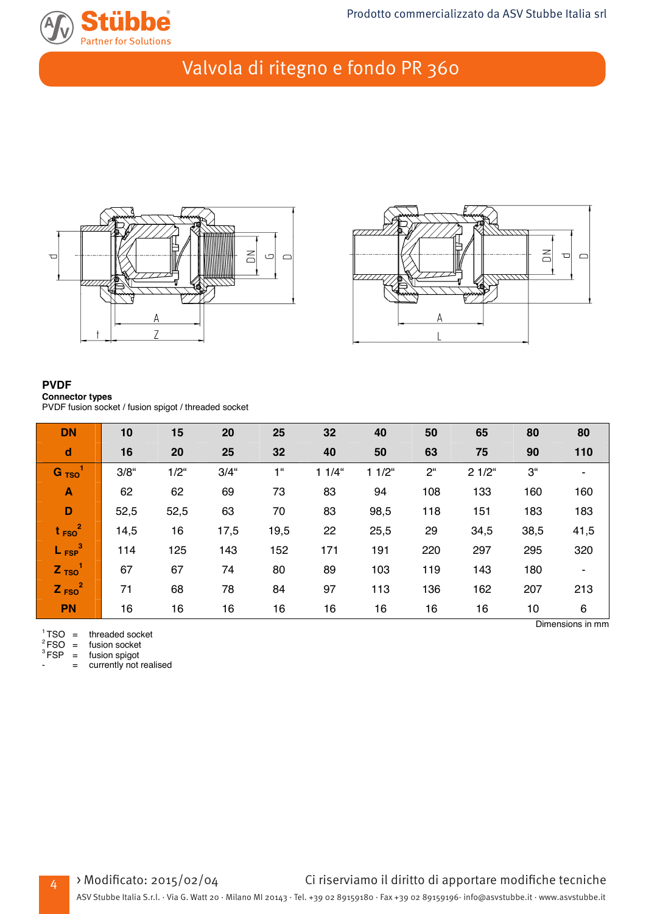





#### **PVDF Connector types** PVDF fusion socket / fusion spigot / threaded socket

| <b>DN</b>                       | 10      | 15      | 20      | 25             | 32       | 40       | 50          | 65       | 80             | 80   |
|---------------------------------|---------|---------|---------|----------------|----------|----------|-------------|----------|----------------|------|
| $\mathbf d$                     | 16      | 20      | 25      | 32             | 40       | 50       | 63          | 75       | 90             | 110  |
| $G$ <sub>TSO</sub>              | $3/8$ " | $1/2$ " | $3/4$ " | 1 <sup>u</sup> | $11/4$ " | $11/2$ " | $2^{\circ}$ | $21/2$ " | 3 <sup>°</sup> |      |
| $\mathbf{A}$                    | 62      | 62      | 69      | 73             | 83       | 94       | 108         | 133      | 160            | 160  |
| D                               | 52,5    | 52,5    | 63      | 70             | 83       | 98,5     | 118         | 151      | 183            | 183  |
| $t_{FSO}^2$                     | 14,5    | 16      | 17,5    | 19,5           | 22       | 25,5     | 29          | 34,5     | 38,5           | 41,5 |
| $L_{FSP}^3$                     | 114     | 125     | 143     | 152            | 171      | 191      | 220         | 297      | 295            | 320  |
| $Z$ <sub>TSO</sub> <sup>1</sup> | 67      | 67      | 74      | 80             | 89       | 103      | 119         | 143      | 180            | ۰    |
| $Z_{FSO}^2$                     | 71      | 68      | 78      | 84             | 97       | 113      | 136         | 162      | 207            | 213  |
| <b>PN</b>                       | 16      | 16      | 16      | 16             | 16       | 16       | 16          | 16       | 10             | 6    |

 ${}^{1}$ TSO = threaded socket Dimensions in mm 2 FSO = tusion socket 2 FSO = fusion socket 3 FSP = fusion spigot

4

 ${}^{3}$  FSP = fusion spigot<br>- = currently not realised